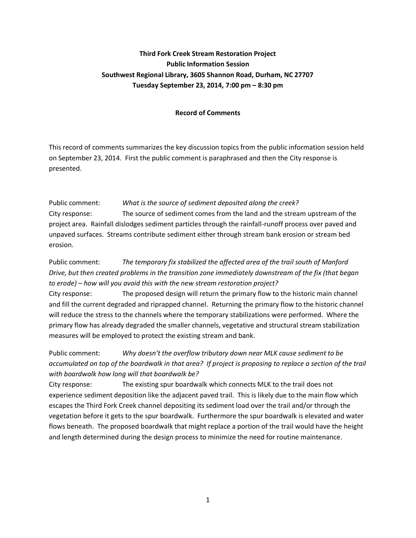## **Third Fork Creek Stream Restoration Project Public Information Session Southwest Regional Library, 3605 Shannon Road, Durham, NC 27707 Tuesday September 23, 2014, 7:00 pm – 8:30 pm**

## **Record of Comments**

This record of comments summarizes the key discussion topics from the public information session held on September 23, 2014. First the public comment is paraphrased and then the City response is presented.

Public comment: *What is the source of sediment deposited along the creek?* City response: The source of sediment comes from the land and the stream upstream of the project area. Rainfall dislodges sediment particles through the rainfall-runoff process over paved and unpaved surfaces. Streams contribute sediment either through stream bank erosion or stream bed erosion.

Public comment: *The temporary fix stabilized the affected area of the trail south of Manford Drive, but then created problems in the transition zone immediately downstream of the fix (that began to erode) – how will you avoid this with the new stream restoration project?*

City response: The proposed design will return the primary flow to the historic main channel and fill the current degraded and riprapped channel. Returning the primary flow to the historic channel will reduce the stress to the channels where the temporary stabilizations were performed. Where the primary flow has already degraded the smaller channels, vegetative and structural stream stabilization measures will be employed to protect the existing stream and bank.

Public comment: *Why doesn't the overflow tributary down near MLK cause sediment to be accumulated on top of the boardwalk in that area? If project is proposing to replace a section of the trail with boardwalk how long will that boardwalk be?*

City response: The existing spur boardwalk which connects MLK to the trail does not experience sediment deposition like the adjacent paved trail. This is likely due to the main flow which escapes the Third Fork Creek channel depositing its sediment load over the trail and/or through the vegetation before it gets to the spur boardwalk. Furthermore the spur boardwalk is elevated and water flows beneath. The proposed boardwalk that might replace a portion of the trail would have the height and length determined during the design process to minimize the need for routine maintenance.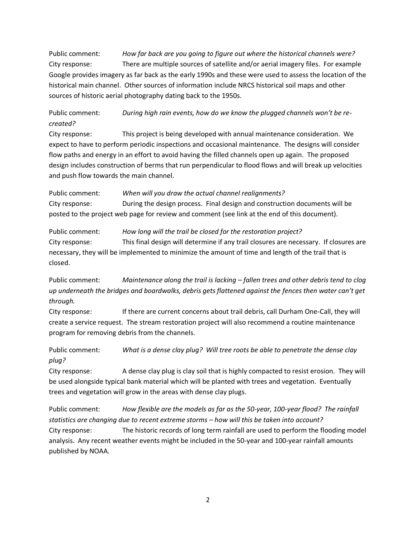Public comment: *How far back are you going to figure out where the historical channels were?* City response: There are multiple sources of satellite and/or aerial imagery files. For example Google provides imagery as far back as the early 1990s and these were used to assess the location of the historical main channel. Other sources of information include NRCS historical soil maps and other sources of historic aerial photography dating back to the 1950s.

Public comment: *During high rain events, how do we know the plugged channels won't be recreated?*

City response: This project is being developed with annual maintenance consideration. We expect to have to perform periodic inspections and occasional maintenance. The designs will consider flow paths and energy in an effort to avoid having the filled channels open up again. The proposed design includes construction of berms that run perpendicular to flood flows and will break up velocities and push flow towards the main channel.

Public comment: *When will you draw the actual channel realignments?* City response: During the design process. Final design and construction documents will be posted to the project web page for review and comment (see link at the end of this document).

Public comment: *How long will the trail be closed for the restoration project?* City response: This final design will determine if any trail closures are necessary. If closures are necessary, they will be implemented to minimize the amount of time and length of the trail that is closed.

Public comment: *Maintenance along the trail is lacking – fallen trees and other debris tend to clog up underneath the bridges and boardwalks, debris gets flattened against the fences then water can't get through.*

City response: If there are current concerns about trail debris, call Durham One-Call, they will create a service request. The stream restoration project will also recommend a routine maintenance program for removing debris from the channels.

Public comment: *What is a dense clay plug? Will tree roots be able to penetrate the dense clay plug?*

City response: A dense clay plug is clay soil that is highly compacted to resist erosion. They will be used alongside typical bank material which will be planted with trees and vegetation. Eventually trees and vegetation will grow in the areas with dense clay plugs.

Public comment: *How flexible are the models as far as the 50-year, 100-year flood? The rainfall statistics are changing due to recent extreme storms – how will this be taken into account?* City response: The historic records of long term rainfall are used to perform the flooding model analysis. Any recent weather events might be included in the 50-year and 100-year rainfall amounts published by NOAA.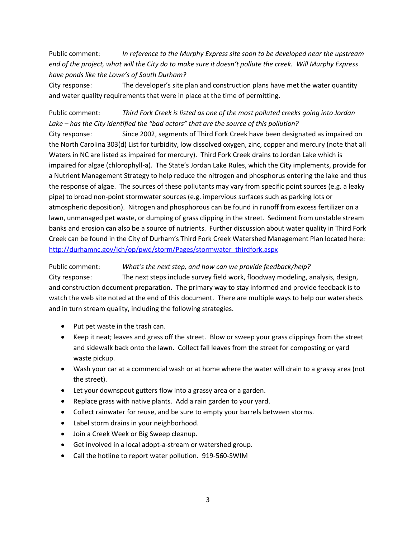Public comment: *In reference to the Murphy Express site soon to be developed near the upstream end of the project, what will the City do to make sure it doesn't pollute the creek. Will Murphy Express have ponds like the Lowe's of South Durham?*

City response: The developer's site plan and construction plans have met the water quantity and water quality requirements that were in place at the time of permitting.

Public comment: *Third Fork Creek is listed as one of the most polluted creeks going into Jordan Lake – has the City identified the "bad actors" that are the source of this pollution?*

City response: Since 2002, segments of Third Fork Creek have been designated as impaired on the North Carolina 303(d) List for turbidity, low dissolved oxygen, zinc, copper and mercury (note that all Waters in NC are listed as impaired for mercury). Third Fork Creek drains to Jordan Lake which is impaired for algae (chlorophyll-a). The State's Jordan Lake Rules, which the City implements, provide for a Nutrient Management Strategy to help reduce the nitrogen and phosphorus entering the lake and thus the response of algae. The sources of these pollutants may vary from specific point sources (e.g. a leaky pipe) to broad non-point stormwater sources (e.g. impervious surfaces such as parking lots or atmospheric deposition). Nitrogen and phosphorous can be found in runoff from excess fertilizer on a lawn, unmanaged pet waste, or dumping of grass clipping in the street. Sediment from unstable stream banks and erosion can also be a source of nutrients. Further discussion about water quality in Third Fork Creek can be found in the City of Durham's Third Fork Creek Watershed Management Plan located here: [http://durhamnc.gov/ich/op/pwd/storm/Pages/stormwater\\_thirdfork.aspx](http://durhamnc.gov/ich/op/pwd/storm/Pages/stormwater_thirdfork.aspx)

Public comment: *What's the next step, and how can we provide feedback/help?*

City response: The next steps include survey field work, floodway modeling, analysis, design, and construction document preparation. The primary way to stay informed and provide feedback is to watch the web site noted at the end of this document. There are multiple ways to help our watersheds and in turn stream quality, including the following strategies.

- $\bullet$  Put pet waste in the trash can.
- Keep it neat; leaves and grass off the street. Blow or sweep your grass clippings from the street and sidewalk back onto the lawn. Collect fall leaves from the street for composting or yard waste pickup.
- Wash your car at a commercial wash or at home where the water will drain to a grassy area (not the street).
- Let your downspout gutters flow into a grassy area or a garden.
- Replace grass with native plants. Add a rain garden to your yard.
- Collect rainwater for reuse, and be sure to empty your barrels between storms.
- Label storm drains in your neighborhood.
- Join a Creek Week or Big Sweep cleanup.
- Get involved in a local adopt-a-stream or watershed group.
- Call the hotline to report water pollution. 919-560-SWIM